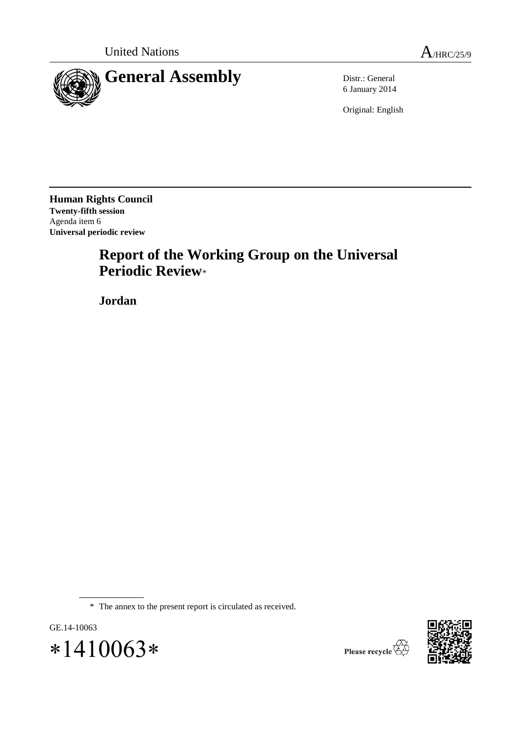

6 January 2014

Original: English

**Human Rights Council Twenty-fifth session** Agenda item 6 **Universal periodic review**

# **Report of the Working Group on the Universal Periodic Review**\*

**Jordan**

\* The annex to the present report is circulated as received.



 $*1410063*$ 

GE.14-10063

Please recycle  $\overleftrightarrow{C}$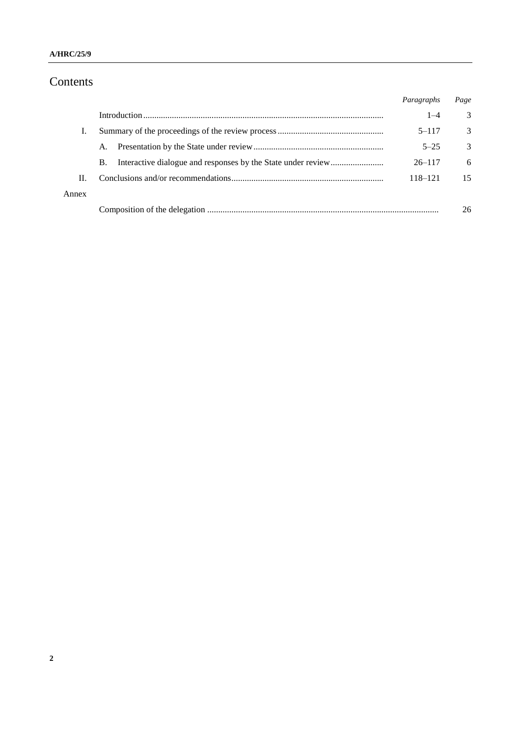# Contents

|       |           | Paragraphs | Page |
|-------|-----------|------------|------|
|       |           | $1 - 4$    | 3    |
| Ι.    |           | $5 - 117$  | 3    |
|       | A.        | $5 - 25$   | 3    |
|       | <b>B.</b> | $26 - 117$ | 6    |
| Н.    |           | 118–121    | 15   |
| Annex |           |            |      |
|       |           |            | 26   |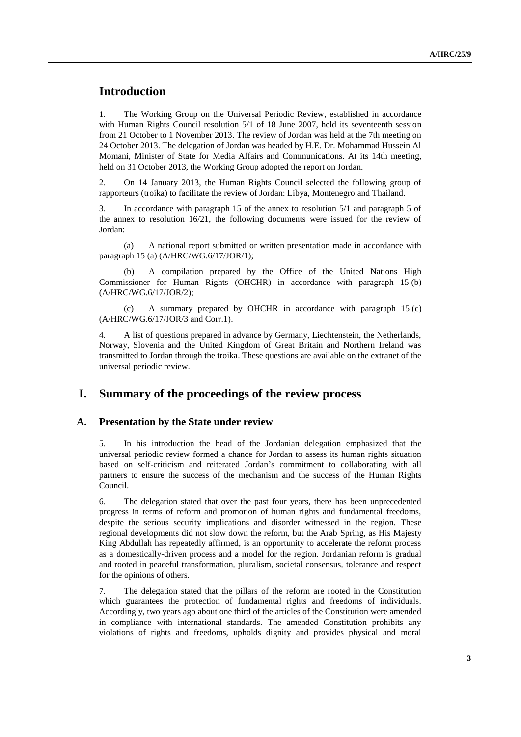## **Introduction**

1. The Working Group on the Universal Periodic Review, established in accordance with Human Rights Council resolution 5/1 of 18 June 2007, held its seventeenth session from 21 October to 1 November 2013. The review of Jordan was held at the 7th meeting on 24 October 2013. The delegation of Jordan was headed by H.E. Dr. Mohammad Hussein Al Momani, Minister of State for Media Affairs and Communications. At its 14th meeting, held on 31 October 2013, the Working Group adopted the report on Jordan.

2. On 14 January 2013, the Human Rights Council selected the following group of rapporteurs (troika) to facilitate the review of Jordan: Libya, Montenegro and Thailand.

3. In accordance with paragraph 15 of the annex to resolution 5/1 and paragraph 5 of the annex to resolution 16/21, the following documents were issued for the review of Jordan:

(a) A national report submitted or written presentation made in accordance with paragraph 15 (a) (A/HRC/WG.6/17/JOR/1);

(b) A compilation prepared by the Office of the United Nations High Commissioner for Human Rights (OHCHR) in accordance with paragraph 15 (b) (A/HRC/WG.6/17/JOR/2);

(c) A summary prepared by OHCHR in accordance with paragraph 15 (c) (A/HRC/WG.6/17/JOR/3 and Corr.1).

4. A list of questions prepared in advance by Germany, Liechtenstein, the Netherlands, Norway, Slovenia and the United Kingdom of Great Britain and Northern Ireland was transmitted to Jordan through the troika. These questions are available on the extranet of the universal periodic review.

### **I. Summary of the proceedings of the review process**

#### **A. Presentation by the State under review**

5. In his introduction the head of the Jordanian delegation emphasized that the universal periodic review formed a chance for Jordan to assess its human rights situation based on self-criticism and reiterated Jordan's commitment to collaborating with all partners to ensure the success of the mechanism and the success of the Human Rights Council.

6. The delegation stated that over the past four years, there has been unprecedented progress in terms of reform and promotion of human rights and fundamental freedoms, despite the serious security implications and disorder witnessed in the region. These regional developments did not slow down the reform, but the Arab Spring, as His Majesty King Abdullah has repeatedly affirmed, is an opportunity to accelerate the reform process as a domestically-driven process and a model for the region. Jordanian reform is gradual and rooted in peaceful transformation, pluralism, societal consensus, tolerance and respect for the opinions of others.

7. The delegation stated that the pillars of the reform are rooted in the Constitution which guarantees the protection of fundamental rights and freedoms of individuals. Accordingly, two years ago about one third of the articles of the Constitution were amended in compliance with international standards. The amended Constitution prohibits any violations of rights and freedoms, upholds dignity and provides physical and moral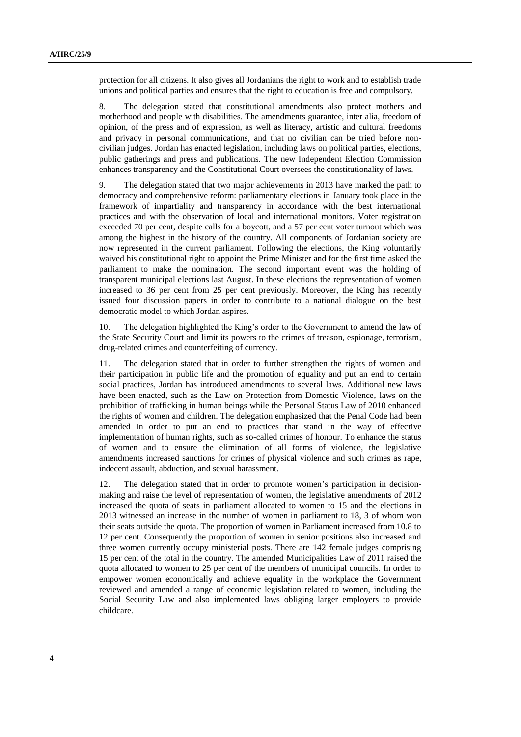protection for all citizens. It also gives all Jordanians the right to work and to establish trade unions and political parties and ensures that the right to education is free and compulsory.

8. The delegation stated that constitutional amendments also protect mothers and motherhood and people with disabilities. The amendments guarantee, inter alia, freedom of opinion, of the press and of expression, as well as literacy, artistic and cultural freedoms and privacy in personal communications, and that no civilian can be tried before noncivilian judges. Jordan has enacted legislation, including laws on political parties, elections, public gatherings and press and publications. The new Independent Election Commission enhances transparency and the Constitutional Court oversees the constitutionality of laws.

9. The delegation stated that two major achievements in 2013 have marked the path to democracy and comprehensive reform: parliamentary elections in January took place in the framework of impartiality and transparency in accordance with the best international practices and with the observation of local and international monitors. Voter registration exceeded 70 per cent, despite calls for a boycott, and a 57 per cent voter turnout which was among the highest in the history of the country. All components of Jordanian society are now represented in the current parliament. Following the elections, the King voluntarily waived his constitutional right to appoint the Prime Minister and for the first time asked the parliament to make the nomination. The second important event was the holding of transparent municipal elections last August. In these elections the representation of women increased to 36 per cent from 25 per cent previously. Moreover, the King has recently issued four discussion papers in order to contribute to a national dialogue on the best democratic model to which Jordan aspires.

10. The delegation highlighted the King's order to the Government to amend the law of the State Security Court and limit its powers to the crimes of treason, espionage, terrorism, drug-related crimes and counterfeiting of currency.

11. The delegation stated that in order to further strengthen the rights of women and their participation in public life and the promotion of equality and put an end to certain social practices, Jordan has introduced amendments to several laws. Additional new laws have been enacted, such as the Law on Protection from Domestic Violence, laws on the prohibition of trafficking in human beings while the Personal Status Law of 2010 enhanced the rights of women and children. The delegation emphasized that the Penal Code had been amended in order to put an end to practices that stand in the way of effective implementation of human rights, such as so-called crimes of honour. To enhance the status of women and to ensure the elimination of all forms of violence, the legislative amendments increased sanctions for crimes of physical violence and such crimes as rape, indecent assault, abduction, and sexual harassment.

12. The delegation stated that in order to promote women's participation in decisionmaking and raise the level of representation of women, the legislative amendments of 2012 increased the quota of seats in parliament allocated to women to 15 and the elections in 2013 witnessed an increase in the number of women in parliament to 18, 3 of whom won their seats outside the quota. The proportion of women in Parliament increased from 10.8 to 12 per cent. Consequently the proportion of women in senior positions also increased and three women currently occupy ministerial posts. There are 142 female judges comprising 15 per cent of the total in the country. The amended Municipalities Law of 2011 raised the quota allocated to women to 25 per cent of the members of municipal councils. In order to empower women economically and achieve equality in the workplace the Government reviewed and amended a range of economic legislation related to women, including the Social Security Law and also implemented laws obliging larger employers to provide childcare.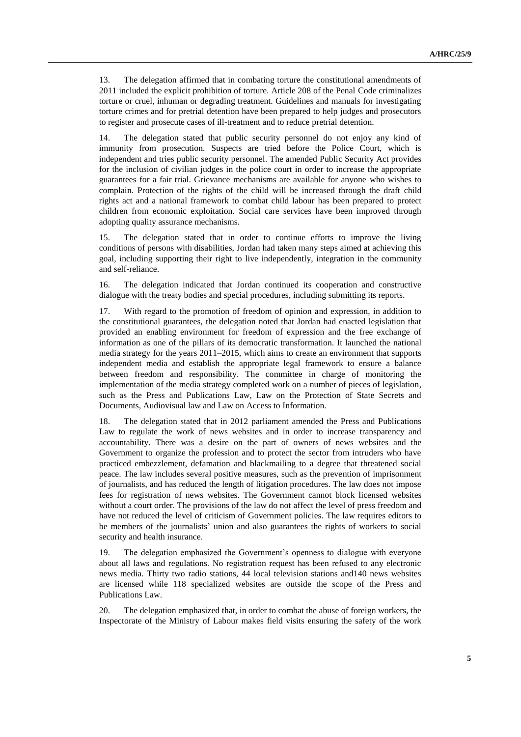13. The delegation affirmed that in combating torture the constitutional amendments of 2011 included the explicit prohibition of torture. Article 208 of the Penal Code criminalizes torture or cruel, inhuman or degrading treatment. Guidelines and manuals for investigating torture crimes and for pretrial detention have been prepared to help judges and prosecutors to register and prosecute cases of ill-treatment and to reduce pretrial detention.

14. The delegation stated that public security personnel do not enjoy any kind of immunity from prosecution. Suspects are tried before the Police Court, which is independent and tries public security personnel. The amended Public Security Act provides for the inclusion of civilian judges in the police court in order to increase the appropriate guarantees for a fair trial. Grievance mechanisms are available for anyone who wishes to complain. Protection of the rights of the child will be increased through the draft child rights act and a national framework to combat child labour has been prepared to protect children from economic exploitation. Social care services have been improved through adopting quality assurance mechanisms.

15. The delegation stated that in order to continue efforts to improve the living conditions of persons with disabilities, Jordan had taken many steps aimed at achieving this goal, including supporting their right to live independently, integration in the community and self-reliance.

16. The delegation indicated that Jordan continued its cooperation and constructive dialogue with the treaty bodies and special procedures, including submitting its reports.

17. With regard to the promotion of freedom of opinion and expression, in addition to the constitutional guarantees, the delegation noted that Jordan had enacted legislation that provided an enabling environment for freedom of expression and the free exchange of information as one of the pillars of its democratic transformation. It launched the national media strategy for the years 2011–2015, which aims to create an environment that supports independent media and establish the appropriate legal framework to ensure a balance between freedom and responsibility. The committee in charge of monitoring the implementation of the media strategy completed work on a number of pieces of legislation, such as the Press and Publications Law, Law on the Protection of State Secrets and Documents, Audiovisual law and Law on Access to Information.

18. The delegation stated that in 2012 parliament amended the Press and Publications Law to regulate the work of news websites and in order to increase transparency and accountability. There was a desire on the part of owners of news websites and the Government to organize the profession and to protect the sector from intruders who have practiced embezzlement, defamation and blackmailing to a degree that threatened social peace. The law includes several positive measures, such as the prevention of imprisonment of journalists, and has reduced the length of litigation procedures. The law does not impose fees for registration of news websites. The Government cannot block licensed websites without a court order. The provisions of the law do not affect the level of press freedom and have not reduced the level of criticism of Government policies. The law requires editors to be members of the journalists' union and also guarantees the rights of workers to social security and health insurance.

19. The delegation emphasized the Government's openness to dialogue with everyone about all laws and regulations. No registration request has been refused to any electronic news media. Thirty two radio stations, 44 local television stations and140 news websites are licensed while 118 specialized websites are outside the scope of the Press and Publications Law.

20. The delegation emphasized that, in order to combat the abuse of foreign workers, the Inspectorate of the Ministry of Labour makes field visits ensuring the safety of the work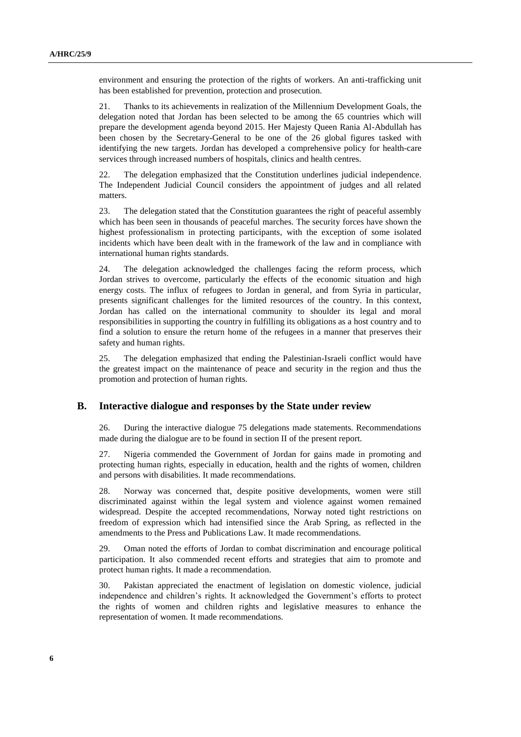environment and ensuring the protection of the rights of workers. An anti-trafficking unit has been established for prevention, protection and prosecution.

21. Thanks to its achievements in realization of the Millennium Development Goals, the delegation noted that Jordan has been selected to be among the 65 countries which will prepare the development agenda beyond 2015. Her Majesty Queen Rania Al-Abdullah has been chosen by the Secretary-General to be one of the 26 global figures tasked with identifying the new targets. Jordan has developed a comprehensive policy for health-care services through increased numbers of hospitals, clinics and health centres.

22. The delegation emphasized that the Constitution underlines judicial independence. The Independent Judicial Council considers the appointment of judges and all related matters.

23. The delegation stated that the Constitution guarantees the right of peaceful assembly which has been seen in thousands of peaceful marches. The security forces have shown the highest professionalism in protecting participants, with the exception of some isolated incidents which have been dealt with in the framework of the law and in compliance with international human rights standards.

24. The delegation acknowledged the challenges facing the reform process, which Jordan strives to overcome, particularly the effects of the economic situation and high energy costs. The influx of refugees to Jordan in general, and from Syria in particular, presents significant challenges for the limited resources of the country. In this context, Jordan has called on the international community to shoulder its legal and moral responsibilities in supporting the country in fulfilling its obligations as a host country and to find a solution to ensure the return home of the refugees in a manner that preserves their safety and human rights.

25. The delegation emphasized that ending the Palestinian-Israeli conflict would have the greatest impact on the maintenance of peace and security in the region and thus the promotion and protection of human rights.

#### **B. Interactive dialogue and responses by the State under review**

26. During the interactive dialogue 75 delegations made statements. Recommendations made during the dialogue are to be found in section II of the present report.

27. Nigeria commended the Government of Jordan for gains made in promoting and protecting human rights, especially in education, health and the rights of women, children and persons with disabilities. It made recommendations.

28. Norway was concerned that, despite positive developments, women were still discriminated against within the legal system and violence against women remained widespread. Despite the accepted recommendations, Norway noted tight restrictions on freedom of expression which had intensified since the Arab Spring, as reflected in the amendments to the Press and Publications Law. It made recommendations.

29. Oman noted the efforts of Jordan to combat discrimination and encourage political participation. It also commended recent efforts and strategies that aim to promote and protect human rights. It made a recommendation.

30. Pakistan appreciated the enactment of legislation on domestic violence, judicial independence and children's rights. It acknowledged the Government's efforts to protect the rights of women and children rights and legislative measures to enhance the representation of women. It made recommendations.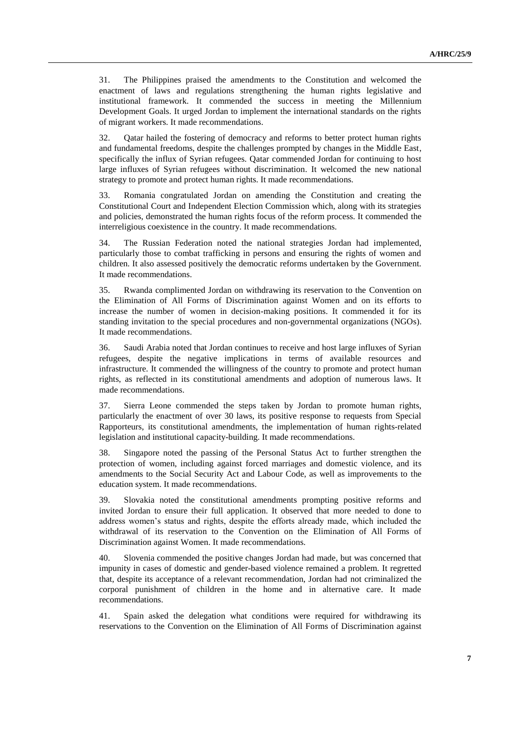31. The Philippines praised the amendments to the Constitution and welcomed the enactment of laws and regulations strengthening the human rights legislative and institutional framework. It commended the success in meeting the Millennium Development Goals. It urged Jordan to implement the international standards on the rights of migrant workers. It made recommendations.

32. Qatar hailed the fostering of democracy and reforms to better protect human rights and fundamental freedoms, despite the challenges prompted by changes in the Middle East, specifically the influx of Syrian refugees. Qatar commended Jordan for continuing to host large influxes of Syrian refugees without discrimination. It welcomed the new national strategy to promote and protect human rights. It made recommendations.

33. Romania congratulated Jordan on amending the Constitution and creating the Constitutional Court and Independent Election Commission which, along with its strategies and policies, demonstrated the human rights focus of the reform process. It commended the interreligious coexistence in the country. It made recommendations.

34. The Russian Federation noted the national strategies Jordan had implemented, particularly those to combat trafficking in persons and ensuring the rights of women and children. It also assessed positively the democratic reforms undertaken by the Government. It made recommendations.

35. Rwanda complimented Jordan on withdrawing its reservation to the Convention on the Elimination of All Forms of Discrimination against Women and on its efforts to increase the number of women in decision-making positions. It commended it for its standing invitation to the special procedures and non-governmental organizations (NGOs). It made recommendations.

36. Saudi Arabia noted that Jordan continues to receive and host large influxes of Syrian refugees, despite the negative implications in terms of available resources and infrastructure. It commended the willingness of the country to promote and protect human rights, as reflected in its constitutional amendments and adoption of numerous laws. It made recommendations.

37. Sierra Leone commended the steps taken by Jordan to promote human rights, particularly the enactment of over 30 laws, its positive response to requests from Special Rapporteurs, its constitutional amendments, the implementation of human rights-related legislation and institutional capacity-building. It made recommendations.

38. Singapore noted the passing of the Personal Status Act to further strengthen the protection of women, including against forced marriages and domestic violence, and its amendments to the Social Security Act and Labour Code, as well as improvements to the education system. It made recommendations.

39. Slovakia noted the constitutional amendments prompting positive reforms and invited Jordan to ensure their full application. It observed that more needed to done to address women's status and rights, despite the efforts already made, which included the withdrawal of its reservation to the Convention on the Elimination of All Forms of Discrimination against Women. It made recommendations.

40. Slovenia commended the positive changes Jordan had made, but was concerned that impunity in cases of domestic and gender-based violence remained a problem. It regretted that, despite its acceptance of a relevant recommendation, Jordan had not criminalized the corporal punishment of children in the home and in alternative care. It made recommendations.

41. Spain asked the delegation what conditions were required for withdrawing its reservations to the Convention on the Elimination of All Forms of Discrimination against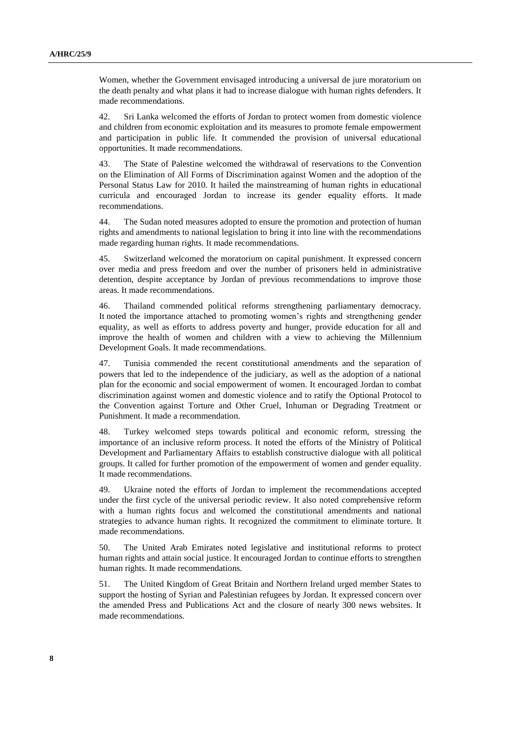Women, whether the Government envisaged introducing a universal de jure moratorium on the death penalty and what plans it had to increase dialogue with human rights defenders. It made recommendations.

42. Sri Lanka welcomed the efforts of Jordan to protect women from domestic violence and children from economic exploitation and its measures to promote female empowerment and participation in public life. It commended the provision of universal educational opportunities. It made recommendations.

43. The State of Palestine welcomed the withdrawal of reservations to the Convention on the Elimination of All Forms of Discrimination against Women and the adoption of the Personal Status Law for 2010. It hailed the mainstreaming of human rights in educational curricula and encouraged Jordan to increase its gender equality efforts. It made recommendations.

44. The Sudan noted measures adopted to ensure the promotion and protection of human rights and amendments to national legislation to bring it into line with the recommendations made regarding human rights. It made recommendations.

45. Switzerland welcomed the moratorium on capital punishment. It expressed concern over media and press freedom and over the number of prisoners held in administrative detention, despite acceptance by Jordan of previous recommendations to improve those areas. It made recommendations.

46. Thailand commended political reforms strengthening parliamentary democracy. It noted the importance attached to promoting women's rights and strengthening gender equality, as well as efforts to address poverty and hunger, provide education for all and improve the health of women and children with a view to achieving the Millennium Development Goals. It made recommendations.

47. Tunisia commended the recent constitutional amendments and the separation of powers that led to the independence of the judiciary, as well as the adoption of a national plan for the economic and social empowerment of women. It encouraged Jordan to combat discrimination against women and domestic violence and to ratify the Optional Protocol to the Convention against Torture and Other Cruel, Inhuman or Degrading Treatment or Punishment. It made a recommendation.

48. Turkey welcomed steps towards political and economic reform, stressing the importance of an inclusive reform process. It noted the efforts of the Ministry of Political Development and Parliamentary Affairs to establish constructive dialogue with all political groups. It called for further promotion of the empowerment of women and gender equality. It made recommendations.

49. Ukraine noted the efforts of Jordan to implement the recommendations accepted under the first cycle of the universal periodic review. It also noted comprehensive reform with a human rights focus and welcomed the constitutional amendments and national strategies to advance human rights. It recognized the commitment to eliminate torture. It made recommendations.

50. The United Arab Emirates noted legislative and institutional reforms to protect human rights and attain social justice. It encouraged Jordan to continue efforts to strengthen human rights. It made recommendations.

51. The United Kingdom of Great Britain and Northern Ireland urged member States to support the hosting of Syrian and Palestinian refugees by Jordan. It expressed concern over the amended Press and Publications Act and the closure of nearly 300 news websites. It made recommendations.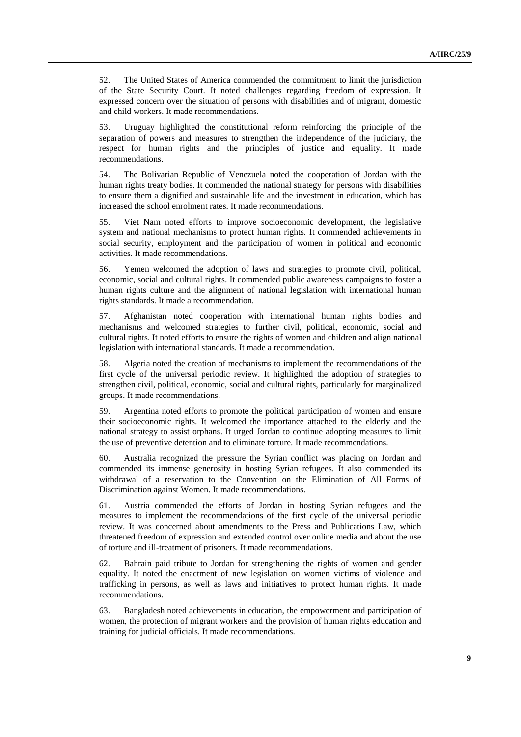52. The United States of America commended the commitment to limit the jurisdiction of the State Security Court. It noted challenges regarding freedom of expression. It expressed concern over the situation of persons with disabilities and of migrant, domestic and child workers. It made recommendations.

53. Uruguay highlighted the constitutional reform reinforcing the principle of the separation of powers and measures to strengthen the independence of the judiciary, the respect for human rights and the principles of justice and equality. It made recommendations.

54. The Bolivarian Republic of Venezuela noted the cooperation of Jordan with the human rights treaty bodies. It commended the national strategy for persons with disabilities to ensure them a dignified and sustainable life and the investment in education, which has increased the school enrolment rates. It made recommendations.

55. Viet Nam noted efforts to improve socioeconomic development, the legislative system and national mechanisms to protect human rights. It commended achievements in social security, employment and the participation of women in political and economic activities. It made recommendations.

56. Yemen welcomed the adoption of laws and strategies to promote civil, political, economic, social and cultural rights. It commended public awareness campaigns to foster a human rights culture and the alignment of national legislation with international human rights standards. It made a recommendation.

57. Afghanistan noted cooperation with international human rights bodies and mechanisms and welcomed strategies to further civil, political, economic, social and cultural rights. It noted efforts to ensure the rights of women and children and align national legislation with international standards. It made a recommendation.

58. Algeria noted the creation of mechanisms to implement the recommendations of the first cycle of the universal periodic review. It highlighted the adoption of strategies to strengthen civil, political, economic, social and cultural rights, particularly for marginalized groups. It made recommendations.

59. Argentina noted efforts to promote the political participation of women and ensure their socioeconomic rights. It welcomed the importance attached to the elderly and the national strategy to assist orphans. It urged Jordan to continue adopting measures to limit the use of preventive detention and to eliminate torture. It made recommendations.

60. Australia recognized the pressure the Syrian conflict was placing on Jordan and commended its immense generosity in hosting Syrian refugees. It also commended its withdrawal of a reservation to the Convention on the Elimination of All Forms of Discrimination against Women. It made recommendations.

61. Austria commended the efforts of Jordan in hosting Syrian refugees and the measures to implement the recommendations of the first cycle of the universal periodic review. It was concerned about amendments to the Press and Publications Law, which threatened freedom of expression and extended control over online media and about the use of torture and ill-treatment of prisoners. It made recommendations.

62. Bahrain paid tribute to Jordan for strengthening the rights of women and gender equality. It noted the enactment of new legislation on women victims of violence and trafficking in persons, as well as laws and initiatives to protect human rights. It made recommendations.

63. Bangladesh noted achievements in education, the empowerment and participation of women, the protection of migrant workers and the provision of human rights education and training for judicial officials. It made recommendations.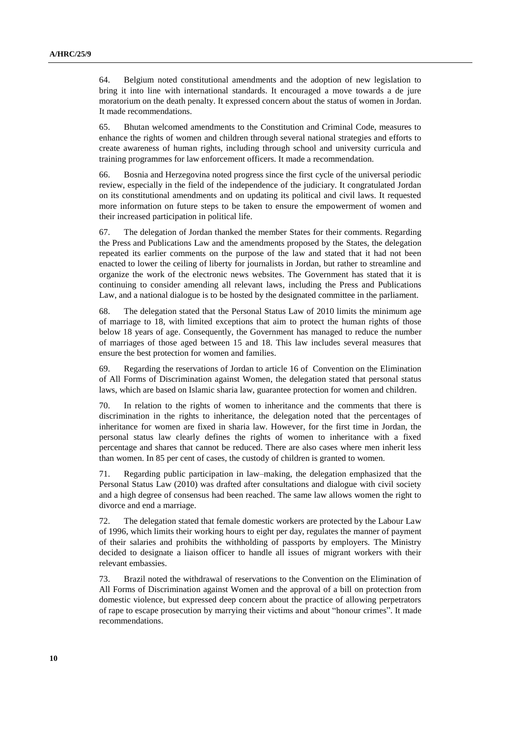64. Belgium noted constitutional amendments and the adoption of new legislation to bring it into line with international standards. It encouraged a move towards a de jure moratorium on the death penalty. It expressed concern about the status of women in Jordan. It made recommendations.

65. Bhutan welcomed amendments to the Constitution and Criminal Code, measures to enhance the rights of women and children through several national strategies and efforts to create awareness of human rights, including through school and university curricula and training programmes for law enforcement officers. It made a recommendation.

66. Bosnia and Herzegovina noted progress since the first cycle of the universal periodic review, especially in the field of the independence of the judiciary. It congratulated Jordan on its constitutional amendments and on updating its political and civil laws. It requested more information on future steps to be taken to ensure the empowerment of women and their increased participation in political life.

67. The delegation of Jordan thanked the member States for their comments. Regarding the Press and Publications Law and the amendments proposed by the States, the delegation repeated its earlier comments on the purpose of the law and stated that it had not been enacted to lower the ceiling of liberty for journalists in Jordan, but rather to streamline and organize the work of the electronic news websites. The Government has stated that it is continuing to consider amending all relevant laws, including the Press and Publications Law, and a national dialogue is to be hosted by the designated committee in the parliament.

68. The delegation stated that the Personal Status Law of 2010 limits the minimum age of marriage to 18, with limited exceptions that aim to protect the human rights of those below 18 years of age. Consequently, the Government has managed to reduce the number of marriages of those aged between 15 and 18. This law includes several measures that ensure the best protection for women and families.

69. Regarding the reservations of Jordan to article 16 of Convention on the Elimination of All Forms of Discrimination against Women, the delegation stated that personal status laws, which are based on Islamic sharia law, guarantee protection for women and children.

70. In relation to the rights of women to inheritance and the comments that there is discrimination in the rights to inheritance, the delegation noted that the percentages of inheritance for women are fixed in sharia law. However, for the first time in Jordan, the personal status law clearly defines the rights of women to inheritance with a fixed percentage and shares that cannot be reduced. There are also cases where men inherit less than women. In 85 per cent of cases, the custody of children is granted to women.

71. Regarding public participation in law–making, the delegation emphasized that the Personal Status Law (2010) was drafted after consultations and dialogue with civil society and a high degree of consensus had been reached. The same law allows women the right to divorce and end a marriage.

72. The delegation stated that female domestic workers are protected by the Labour Law of 1996, which limits their working hours to eight per day, regulates the manner of payment of their salaries and prohibits the withholding of passports by employers. The Ministry decided to designate a liaison officer to handle all issues of migrant workers with their relevant embassies.

73. Brazil noted the withdrawal of reservations to the Convention on the Elimination of All Forms of Discrimination against Women and the approval of a bill on protection from domestic violence, but expressed deep concern about the practice of allowing perpetrators of rape to escape prosecution by marrying their victims and about "honour crimes". It made recommendations.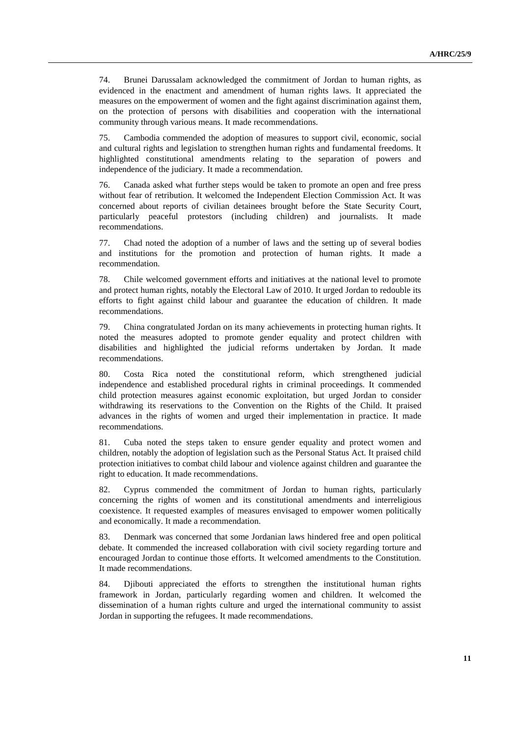74. Brunei Darussalam acknowledged the commitment of Jordan to human rights, as evidenced in the enactment and amendment of human rights laws. It appreciated the measures on the empowerment of women and the fight against discrimination against them, on the protection of persons with disabilities and cooperation with the international community through various means. It made recommendations.

75. Cambodia commended the adoption of measures to support civil, economic, social and cultural rights and legislation to strengthen human rights and fundamental freedoms. It highlighted constitutional amendments relating to the separation of powers and independence of the judiciary. It made a recommendation.

76. Canada asked what further steps would be taken to promote an open and free press without fear of retribution. It welcomed the Independent Election Commission Act. It was concerned about reports of civilian detainees brought before the State Security Court, particularly peaceful protestors (including children) and journalists. It made recommendations.

77. Chad noted the adoption of a number of laws and the setting up of several bodies and institutions for the promotion and protection of human rights. It made a recommendation.

78. Chile welcomed government efforts and initiatives at the national level to promote and protect human rights, notably the Electoral Law of 2010. It urged Jordan to redouble its efforts to fight against child labour and guarantee the education of children. It made recommendations.

79. China congratulated Jordan on its many achievements in protecting human rights. It noted the measures adopted to promote gender equality and protect children with disabilities and highlighted the judicial reforms undertaken by Jordan. It made recommendations.

80. Costa Rica noted the constitutional reform, which strengthened judicial independence and established procedural rights in criminal proceedings. It commended child protection measures against economic exploitation, but urged Jordan to consider withdrawing its reservations to the Convention on the Rights of the Child. It praised advances in the rights of women and urged their implementation in practice. It made recommendations.

81. Cuba noted the steps taken to ensure gender equality and protect women and children, notably the adoption of legislation such as the Personal Status Act. It praised child protection initiatives to combat child labour and violence against children and guarantee the right to education. It made recommendations.

82. Cyprus commended the commitment of Jordan to human rights, particularly concerning the rights of women and its constitutional amendments and interreligious coexistence. It requested examples of measures envisaged to empower women politically and economically. It made a recommendation.

83. Denmark was concerned that some Jordanian laws hindered free and open political debate. It commended the increased collaboration with civil society regarding torture and encouraged Jordan to continue those efforts. It welcomed amendments to the Constitution. It made recommendations.

84. Djibouti appreciated the efforts to strengthen the institutional human rights framework in Jordan, particularly regarding women and children. It welcomed the dissemination of a human rights culture and urged the international community to assist Jordan in supporting the refugees. It made recommendations.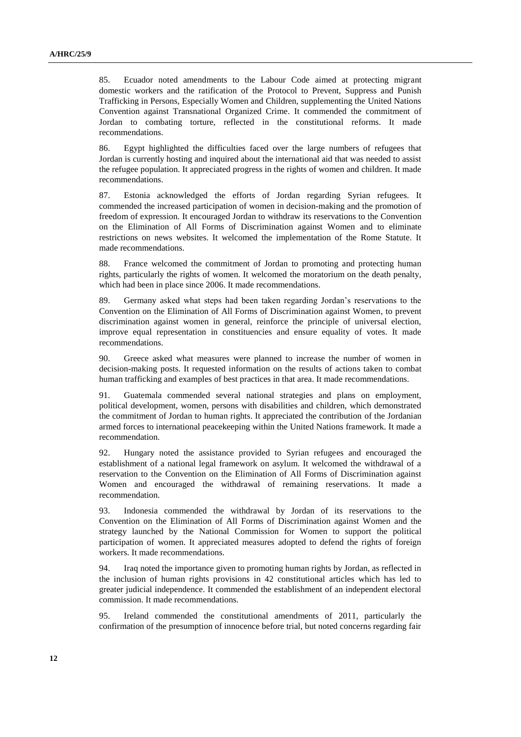85. Ecuador noted amendments to the Labour Code aimed at protecting migrant domestic workers and the ratification of the Protocol [to Prevent, Suppress and Punish](http://www.ohchr.org/EN/ProfessionalInterest/Pages/ProtocolTraffickingInPersons.aspx)  [Trafficking in Persons, Especially Women and Children, supplementing the United Nations](http://www.ohchr.org/EN/ProfessionalInterest/Pages/ProtocolTraffickingInPersons.aspx)  [Convention against Transnational Organized Crime.](http://www.ohchr.org/EN/ProfessionalInterest/Pages/ProtocolTraffickingInPersons.aspx) It commended the commitment of Jordan to combating torture, reflected in the constitutional reforms. It made recommendations.

86. Egypt highlighted the difficulties faced over the large numbers of refugees that Jordan is currently hosting and inquired about the international aid that was needed to assist the refugee population. It appreciated progress in the rights of women and children. It made recommendations.

87. Estonia acknowledged the efforts of Jordan regarding Syrian refugees. It commended the increased participation of women in decision-making and the promotion of freedom of expression. It encouraged Jordan to withdraw its reservations to the Convention on the Elimination of All Forms of Discrimination against Women and to eliminate restrictions on news websites. It welcomed the implementation of the Rome Statute. It made recommendations.

88. France welcomed the commitment of Jordan to promoting and protecting human rights, particularly the rights of women. It welcomed the moratorium on the death penalty, which had been in place since 2006. It made recommendations.

89. Germany asked what steps had been taken regarding Jordan's reservations to the Convention on the Elimination of All Forms of Discrimination against Women, to prevent discrimination against women in general, reinforce the principle of universal election, improve equal representation in constituencies and ensure equality of votes. It made recommendations.

90. Greece asked what measures were planned to increase the number of women in decision-making posts. It requested information on the results of actions taken to combat human trafficking and examples of best practices in that area. It made recommendations.

91. Guatemala commended several national strategies and plans on employment, political development, women, persons with disabilities and children, which demonstrated the commitment of Jordan to human rights. It appreciated the contribution of the Jordanian armed forces to international peacekeeping within the United Nations framework. It made a recommendation.

92. Hungary noted the assistance provided to Syrian refugees and encouraged the establishment of a national legal framework on asylum. It welcomed the withdrawal of a reservation to the Convention on the Elimination of All Forms of Discrimination against Women and encouraged the withdrawal of remaining reservations. It made a recommendation.

93. Indonesia commended the withdrawal by Jordan of its reservations to the Convention on the Elimination of All Forms of Discrimination against Women and the strategy launched by the National Commission for Women to support the political participation of women. It appreciated measures adopted to defend the rights of foreign workers. It made recommendations.

94. Iraq noted the importance given to promoting human rights by Jordan, as reflected in the inclusion of human rights provisions in 42 constitutional articles which has led to greater judicial independence. It commended the establishment of an independent electoral commission. It made recommendations.

95. Ireland commended the constitutional amendments of 2011, particularly the confirmation of the presumption of innocence before trial, but noted concerns regarding fair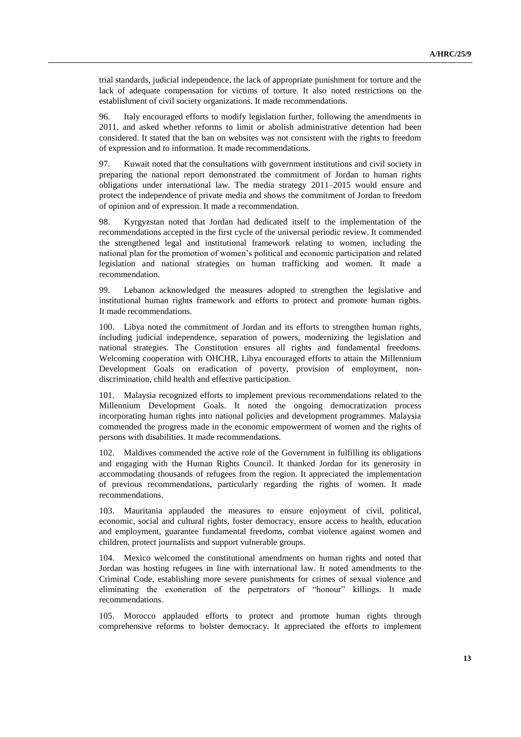trial standards, judicial independence, the lack of appropriate punishment for torture and the lack of adequate compensation for victims of torture. It also noted restrictions on the establishment of civil society organizations. It made recommendations.

96. Italy encouraged efforts to modify legislation further, following the amendments in 2011, and asked whether reforms to limit or abolish administrative detention had been considered. It stated that the ban on websites was not consistent with the rights to freedom of expression and to information. It made recommendations.

97. Kuwait noted that the consultations with government institutions and civil society in preparing the national report demonstrated the commitment of Jordan to human rights obligations under international law. The media strategy 2011–2015 would ensure and protect the independence of private media and shows the commitment of Jordan to freedom of opinion and of expression. It made a recommendation.

98. Kyrgyzstan noted that Jordan had dedicated itself to the implementation of the recommendations accepted in the first cycle of the universal periodic review. It commended the strengthened legal and institutional framework relating to women, including the national plan for the promotion of women's political and economic participation and related legislation and national strategies on human trafficking and women. It made a recommendation.

99. Lebanon acknowledged the measures adopted to strengthen the legislative and institutional human rights framework and efforts to protect and promote human rights. It made recommendations.

100. Libya noted the commitment of Jordan and its efforts to strengthen human rights, including judicial independence, separation of powers, modernizing the legislation and national strategies. The Constitution ensures all rights and fundamental freedoms. Welcoming cooperation with OHCHR, Libya encouraged efforts to attain the Millennium Development Goals on eradication of poverty, provision of employment, nondiscrimination, child health and effective participation.

101. Malaysia recognized efforts to implement previous recommendations related to the Millennium Development Goals. It noted the ongoing democratization process incorporating human rights into national policies and development programmes. Malaysia commended the progress made in the economic empowerment of women and the rights of persons with disabilities. It made recommendations.

102. Maldives commended the active role of the Government in fulfilling its obligations and engaging with the Human Rights Council. It thanked Jordan for its generosity in accommodating thousands of refugees from the region. It appreciated the implementation of previous recommendations, particularly regarding the rights of women. It made recommendations.

103. Mauritania applauded the measures to ensure enjoyment of civil, political, economic, social and cultural rights, foster democracy, ensure access to health, education and employment, guarantee fundamental freedoms, combat violence against women and children, protect journalists and support vulnerable groups.

104. Mexico welcomed the constitutional amendments on human rights and noted that Jordan was hosting refugees in line with international law. It noted amendments to the Criminal Code, establishing more severe punishments for crimes of sexual violence and eliminating the exoneration of the perpetrators of "honour" killings. It made recommendations.

105. Morocco applauded efforts to protect and promote human rights through comprehensive reforms to bolster democracy. It appreciated the efforts to implement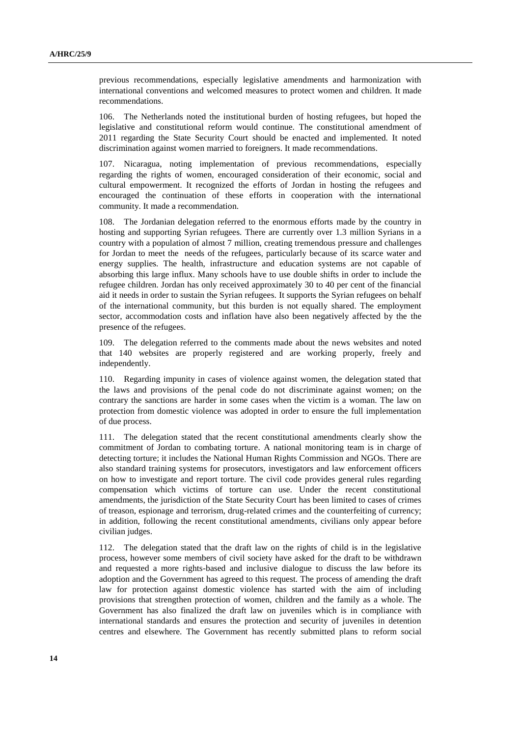previous recommendations, especially legislative amendments and harmonization with international conventions and welcomed measures to protect women and children. It made recommendations.

106. The Netherlands noted the institutional burden of hosting refugees, but hoped the legislative and constitutional reform would continue. The constitutional amendment of 2011 regarding the State Security Court should be enacted and implemented. It noted discrimination against women married to foreigners. It made recommendations.

107. Nicaragua, noting implementation of previous recommendations, especially regarding the rights of women, encouraged consideration of their economic, social and cultural empowerment. It recognized the efforts of Jordan in hosting the refugees and encouraged the continuation of these efforts in cooperation with the international community. It made a recommendation.

108. The Jordanian delegation referred to the enormous efforts made by the country in hosting and supporting Syrian refugees. There are currently over 1.3 million Syrians in a country with a population of almost 7 million, creating tremendous pressure and challenges for Jordan to meet the needs of the refugees, particularly because of its scarce water and energy supplies. The health, infrastructure and education systems are not capable of absorbing this large influx. Many schools have to use double shifts in order to include the refugee children. Jordan has only received approximately 30 to 40 per cent of the financial aid it needs in order to sustain the Syrian refugees. It supports the Syrian refugees on behalf of the international community, but this burden is not equally shared. The employment sector, accommodation costs and inflation have also been negatively affected by the the presence of the refugees.

109. The delegation referred to the comments made about the news websites and noted that 140 websites are properly registered and are working properly, freely and independently.

110. Regarding impunity in cases of violence against women, the delegation stated that the laws and provisions of the penal code do not discriminate against women; on the contrary the sanctions are harder in some cases when the victim is a woman. The law on protection from domestic violence was adopted in order to ensure the full implementation of due process.

111. The delegation stated that the recent constitutional amendments clearly show the commitment of Jordan to combating torture. A national monitoring team is in charge of detecting torture; it includes the National Human Rights Commission and NGOs. There are also standard training systems for prosecutors, investigators and law enforcement officers on how to investigate and report torture. The civil code provides general rules regarding compensation which victims of torture can use. Under the recent constitutional amendments, the jurisdiction of the State Security Court has been limited to cases of crimes of treason, espionage and terrorism, drug-related crimes and the counterfeiting of currency; in addition, following the recent constitutional amendments, civilians only appear before civilian judges.

112. The delegation stated that the draft law on the rights of child is in the legislative process, however some members of civil society have asked for the draft to be withdrawn and requested a more rights-based and inclusive dialogue to discuss the law before its adoption and the Government has agreed to this request. The process of amending the draft law for protection against domestic violence has started with the aim of including provisions that strengthen protection of women, children and the family as a whole. The Government has also finalized the draft law on juveniles which is in compliance with international standards and ensures the protection and security of juveniles in detention centres and elsewhere. The Government has recently submitted plans to reform social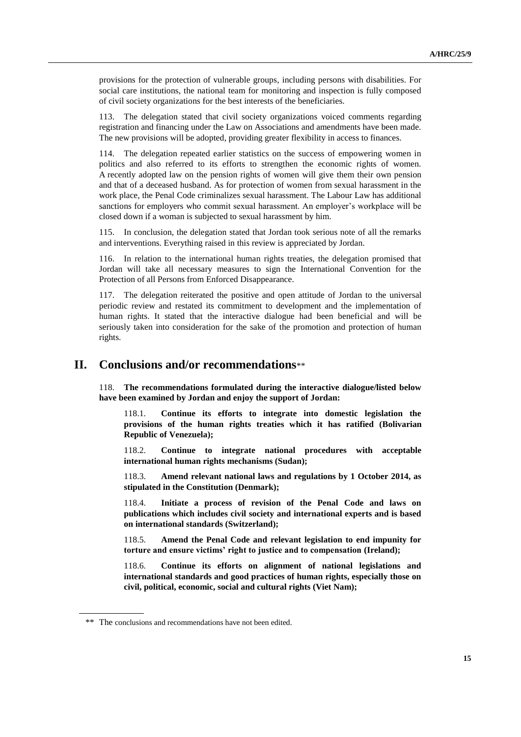provisions for the protection of vulnerable groups, including persons with disabilities. For social care institutions, the national team for monitoring and inspection is fully composed of civil society organizations for the best interests of the beneficiaries.

113. The delegation stated that civil society organizations voiced comments regarding registration and financing under the Law on Associations and amendments have been made. The new provisions will be adopted, providing greater flexibility in access to finances.

114. The delegation repeated earlier statistics on the success of empowering women in politics and also referred to its efforts to strengthen the economic rights of women. A recently adopted law on the pension rights of women will give them their own pension and that of a deceased husband. As for protection of women from sexual harassment in the work place, the Penal Code criminalizes sexual harassment. The Labour Law has additional sanctions for employers who commit sexual harassment. An employer's workplace will be closed down if a woman is subjected to sexual harassment by him.

115. In conclusion, the delegation stated that Jordan took serious note of all the remarks and interventions. Everything raised in this review is appreciated by Jordan.

116. In relation to the international human rights treaties, the delegation promised that Jordan will take all necessary measures to sign the International Convention for the Protection of all Persons from Enforced Disappearance.

117. The delegation reiterated the positive and open attitude of Jordan to the universal periodic review and restated its commitment to development and the implementation of human rights. It stated that the interactive dialogue had been beneficial and will be seriously taken into consideration for the sake of the promotion and protection of human rights.

### **II. Conclusions and/or recommendations**\*\*

118. **The recommendations formulated during the interactive dialogue/listed below have been examined by Jordan and enjoy the support of Jordan:**

118.1. **Continue its efforts to integrate into domestic legislation the provisions of the human rights treaties which it has ratified (Bolivarian Republic of Venezuela);**

118.2. **Continue to integrate national procedures with acceptable international human rights mechanisms (Sudan);**

118.3. **Amend relevant national laws and regulations by 1 October 2014, as stipulated in the Constitution (Denmark);**

118.4. **Initiate a process of revision of the Penal Code and laws on publications which includes civil society and international experts and is based on international standards (Switzerland);**

118.5. **Amend the Penal Code and relevant legislation to end impunity for torture and ensure victims' right to justice and to compensation (Ireland);**

118.6. **Continue its efforts on alignment of national legislations and international standards and good practices of human rights, especially those on civil, political, economic, social and cultural rights (Viet Nam);**

<sup>\*\*</sup> The conclusions and recommendations have not been edited.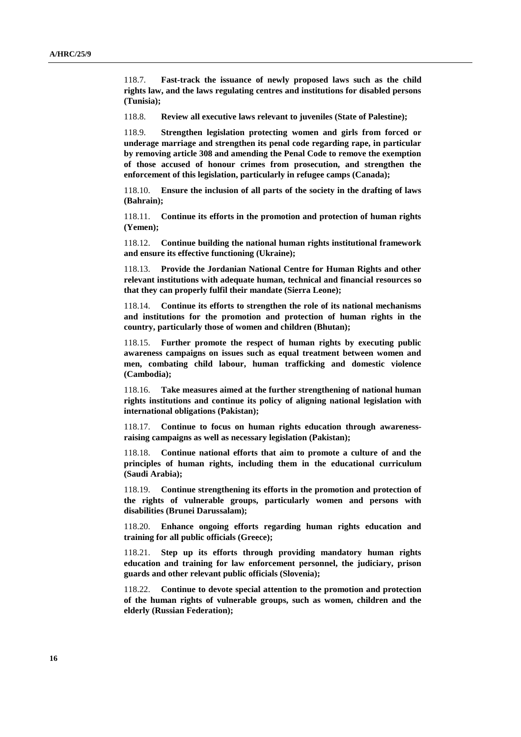118.7. **Fast-track the issuance of newly proposed laws such as the child rights law, and the laws regulating centres and institutions for disabled persons (Tunisia);**

118.8. **Review all executive laws relevant to juveniles (State of Palestine);**

118.9. **Strengthen legislation protecting women and girls from forced or underage marriage and strengthen its penal code regarding rape, in particular by removing article 308 and amending the Penal Code to remove the exemption of those accused of honour crimes from prosecution, and strengthen the enforcement of this legislation, particularly in refugee camps (Canada);**

118.10. **Ensure the inclusion of all parts of the society in the drafting of laws (Bahrain);**

118.11. **Continue its efforts in the promotion and protection of human rights (Yemen);**

118.12. **Continue building the national human rights institutional framework and ensure its effective functioning (Ukraine);**

118.13. **Provide the Jordanian National Centre for Human Rights and other relevant institutions with adequate human, technical and financial resources so that they can properly fulfil their mandate (Sierra Leone);**

118.14. **Continue its efforts to strengthen the role of its national mechanisms and institutions for the promotion and protection of human rights in the country, particularly those of women and children (Bhutan);**

118.15. **Further promote the respect of human rights by executing public awareness campaigns on issues such as equal treatment between women and men, combating child labour, human trafficking and domestic violence (Cambodia);**

118.16. **Take measures aimed at the further strengthening of national human rights institutions and continue its policy of aligning national legislation with international obligations (Pakistan);**

118.17. **Continue to focus on human rights education through awarenessraising campaigns as well as necessary legislation (Pakistan);**

118.18. **Continue national efforts that aim to promote a culture of and the principles of human rights, including them in the educational curriculum (Saudi Arabia);**

118.19. **Continue strengthening its efforts in the promotion and protection of the rights of vulnerable groups, particularly women and persons with disabilities (Brunei Darussalam);**

118.20. **Enhance ongoing efforts regarding human rights education and training for all public officials (Greece);**

118.21. **Step up its efforts through providing mandatory human rights education and training for law enforcement personnel, the judiciary, prison guards and other relevant public officials (Slovenia);**

118.22. **Continue to devote special attention to the promotion and protection of the human rights of vulnerable groups, such as women, children and the elderly (Russian Federation);**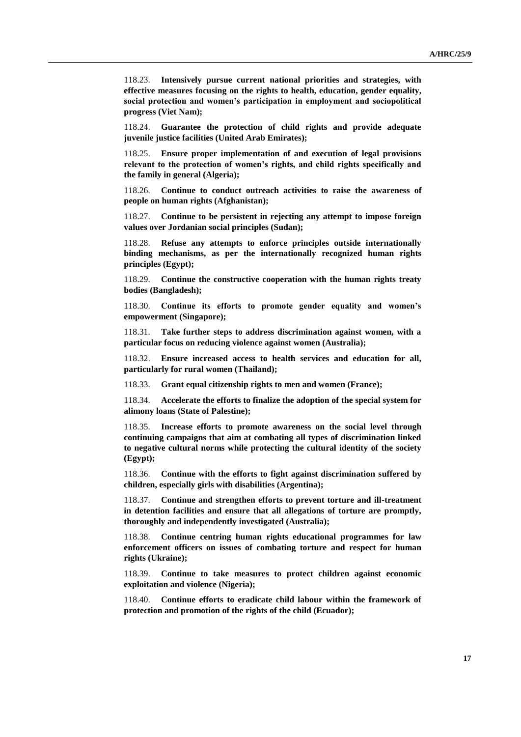118.23. **Intensively pursue current national priorities and strategies, with effective measures focusing on the rights to health, education, gender equality, social protection and women's participation in employment and sociopolitical progress (Viet Nam);**

118.24. **Guarantee the protection of child rights and provide adequate juvenile justice facilities (United Arab Emirates);**

118.25. **Ensure proper implementation of and execution of legal provisions relevant to the protection of women's rights, and child rights specifically and the family in general (Algeria);**

118.26. **Continue to conduct outreach activities to raise the awareness of people on human rights (Afghanistan);**

118.27. **Continue to be persistent in rejecting any attempt to impose foreign values over Jordanian social principles (Sudan);**

118.28. **Refuse any attempts to enforce principles outside internationally binding mechanisms, as per the internationally recognized human rights principles (Egypt);**

118.29. **Continue the constructive cooperation with the human rights treaty bodies (Bangladesh);**

118.30. **Continue its efforts to promote gender equality and women's empowerment (Singapore);**

118.31. **Take further steps to address discrimination against women, with a particular focus on reducing violence against women (Australia);**

118.32. **Ensure increased access to health services and education for all, particularly for rural women (Thailand);**

118.33. **Grant equal citizenship rights to men and women (France);**

118.34. **Accelerate the efforts to finalize the adoption of the special system for alimony loans (State of Palestine);**

118.35. **Increase efforts to promote awareness on the social level through continuing campaigns that aim at combating all types of discrimination linked to negative cultural norms while protecting the cultural identity of the society (Egypt);**

118.36. **Continue with the efforts to fight against discrimination suffered by children, especially girls with disabilities (Argentina);**

118.37. **Continue and strengthen efforts to prevent torture and ill-treatment in detention facilities and ensure that all allegations of torture are promptly, thoroughly and independently investigated (Australia);**

118.38. **Continue centring human rights educational programmes for law enforcement officers on issues of combating torture and respect for human rights (Ukraine);**

118.39. **Continue to take measures to protect children against economic exploitation and violence (Nigeria);**

118.40. **Continue efforts to eradicate child labour within the framework of protection and promotion of the rights of the child (Ecuador);**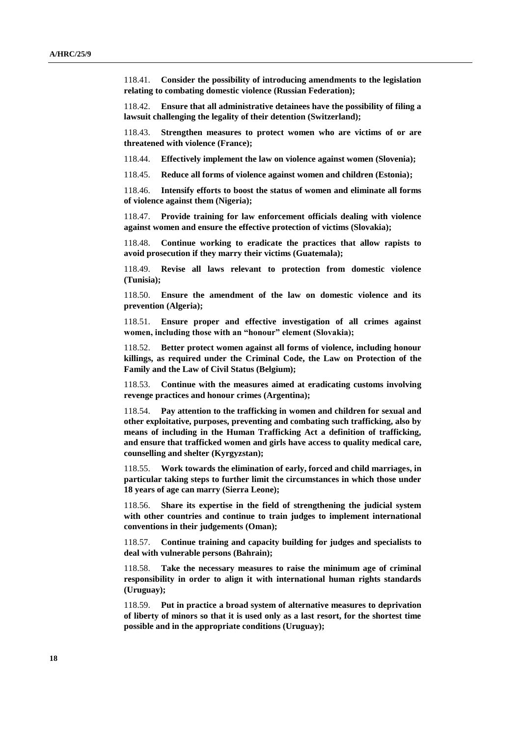118.41. **Consider the possibility of introducing amendments to the legislation relating to combating domestic violence (Russian Federation);**

118.42. **Ensure that all administrative detainees have the possibility of filing a lawsuit challenging the legality of their detention (Switzerland);**

118.43. **Strengthen measures to protect women who are victims of or are threatened with violence (France);**

118.44. **Effectively implement the law on violence against women (Slovenia);**

118.45. **Reduce all forms of violence against women and children (Estonia);**

118.46. **Intensify efforts to boost the status of women and eliminate all forms of violence against them (Nigeria);**

118.47. **Provide training for law enforcement officials dealing with violence against women and ensure the effective protection of victims (Slovakia);**

118.48. **Continue working to eradicate the practices that allow rapists to avoid prosecution if they marry their victims (Guatemala);**

118.49. **Revise all laws relevant to protection from domestic violence (Tunisia);**

118.50. **Ensure the amendment of the law on domestic violence and its prevention (Algeria);**

118.51. **Ensure proper and effective investigation of all crimes against women, including those with an "honour" element (Slovakia);**

118.52. **Better protect women against all forms of violence, including honour killings, as required under the Criminal Code, the Law on Protection of the Family and the Law of Civil Status (Belgium);**

118.53. **Continue with the measures aimed at eradicating customs involving revenge practices and honour crimes (Argentina);**

118.54. **Pay attention to the trafficking in women and children for sexual and other exploitative, purposes, preventing and combating such trafficking, also by means of including in the Human Trafficking Act a definition of trafficking, and ensure that trafficked women and girls have access to quality medical care, counselling and shelter (Kyrgyzstan);**

118.55. **Work towards the elimination of early, forced and child marriages, in particular taking steps to further limit the circumstances in which those under 18 years of age can marry (Sierra Leone);**

118.56. **Share its expertise in the field of strengthening the judicial system with other countries and continue to train judges to implement international conventions in their judgements (Oman);**

118.57. **Continue training and capacity building for judges and specialists to deal with vulnerable persons (Bahrain);**

118.58. **Take the necessary measures to raise the minimum age of criminal responsibility in order to align it with international human rights standards (Uruguay);**

118.59. **Put in practice a broad system of alternative measures to deprivation of liberty of minors so that it is used only as a last resort, for the shortest time possible and in the appropriate conditions (Uruguay);**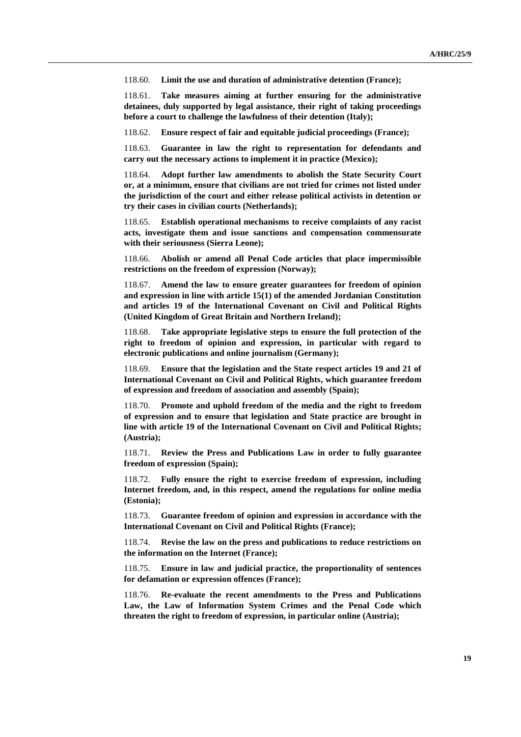118.60. **Limit the use and duration of administrative detention (France);**

118.61. **Take measures aiming at further ensuring for the administrative detainees, duly supported by legal assistance, their right of taking proceedings before a court to challenge the lawfulness of their detention (Italy);**

118.62. **Ensure respect of fair and equitable judicial proceedings (France);** 

118.63. **Guarantee in law the right to representation for defendants and carry out the necessary actions to implement it in practice (Mexico);**

118.64. **Adopt further law amendments to abolish the State Security Court or, at a minimum, ensure that civilians are not tried for crimes not listed under the jurisdiction of the court and either release political activists in detention or try their cases in civilian courts (Netherlands);**

118.65. **Establish operational mechanisms to receive complaints of any racist acts, investigate them and issue sanctions and compensation commensurate with their seriousness (Sierra Leone);**

118.66. **Abolish or amend all Penal Code articles that place impermissible restrictions on the freedom of expression (Norway);**

118.67. **Amend the law to ensure greater guarantees for freedom of opinion and expression in line with article 15(1) of the amended Jordanian Constitution and articles 19 of the International Covenant on Civil and Political Rights (United Kingdom of Great Britain and Northern Ireland);**

118.68. **Take appropriate legislative steps to ensure the full protection of the right to freedom of opinion and expression, in particular with regard to electronic publications and online journalism (Germany);**

118.69. **Ensure that the legislation and the State respect articles 19 and 21 of International Covenant on Civil and Political Rights, which guarantee freedom of expression and freedom of association and assembly (Spain);**

118.70. **Promote and uphold freedom of the media and the right to freedom of expression and to ensure that legislation and State practice are brought in line with article 19 of the International Covenant on Civil and Political Rights; (Austria);**

118.71. **Review the Press and Publications Law in order to fully guarantee freedom of expression (Spain);**

118.72. **Fully ensure the right to exercise freedom of expression, including Internet freedom, and, in this respect, amend the regulations for online media (Estonia);**

118.73. **Guarantee freedom of opinion and expression in accordance with the International Covenant on Civil and Political Rights (France);**

118.74. **Revise the law on the press and publications to reduce restrictions on the information on the Internet (France);**

118.75. **Ensure in law and judicial practice, the proportionality of sentences for defamation or expression offences (France);**

118.76. **Re-evaluate the recent amendments to the Press and Publications Law, the Law of Information System Crimes and the Penal Code which threaten the right to freedom of expression, in particular online (Austria);**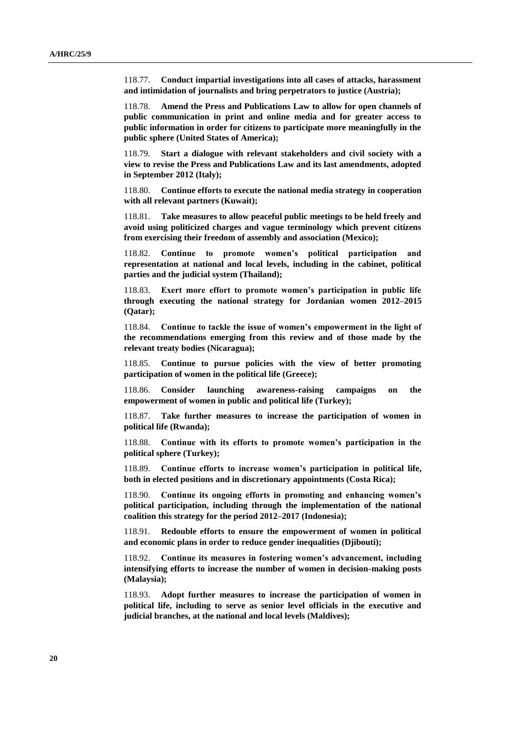118.77. **Conduct impartial investigations into all cases of attacks, harassment and intimidation of journalists and bring perpetrators to justice (Austria);**

118.78. **Amend the Press and Publications Law to allow for open channels of public communication in print and online media and for greater access to public information in order for citizens to participate more meaningfully in the public sphere (United States of America);**

118.79. **Start a dialogue with relevant stakeholders and civil society with a view to revise the Press and Publications Law and its last amendments, adopted in September 2012 (Italy);**

118.80. **Continue efforts to execute the national media strategy in cooperation with all relevant partners (Kuwait);**

118.81. **Take measures to allow peaceful public meetings to be held freely and avoid using politicized charges and vague terminology which prevent citizens from exercising their freedom of assembly and association (Mexico);** 

118.82. **Continue to promote women's political participation and representation at national and local levels, including in the cabinet, political parties and the judicial system (Thailand);**

118.83. **Exert more effort to promote women's participation in public life through executing the national strategy for Jordanian women 2012–2015 (Qatar);**

118.84. **Continue to tackle the issue of women's empowerment in the light of the recommendations emerging from this review and of those made by the relevant treaty bodies (Nicaragua);**

118.85. **Continue to pursue policies with the view of better promoting participation of women in the political life (Greece);**

118.86. **Consider launching awareness-raising campaigns on the empowerment of women in public and political life (Turkey);**

118.87. **Take further measures to increase the participation of women in political life (Rwanda);**

118.88. **Continue with its efforts to promote women's participation in the political sphere (Turkey);**

118.89. **Continue efforts to increase women's participation in political life, both in elected positions and in discretionary appointments (Costa Rica);**

118.90. **Continue its ongoing efforts in promoting and enhancing women's political participation, including through the implementation of the national coalition this strategy for the period 2012–2017 (Indonesia);**

118.91. **Redouble efforts to ensure the empowerment of women in political and economic plans in order to reduce gender inequalities (Djibouti);**

118.92. **Continue its measures in fostering women's advancement, including intensifying efforts to increase the number of women in decision-making posts (Malaysia);**

118.93. **Adopt further measures to increase the participation of women in political life, including to serve as senior level officials in the executive and judicial branches, at the national and local levels (Maldives);**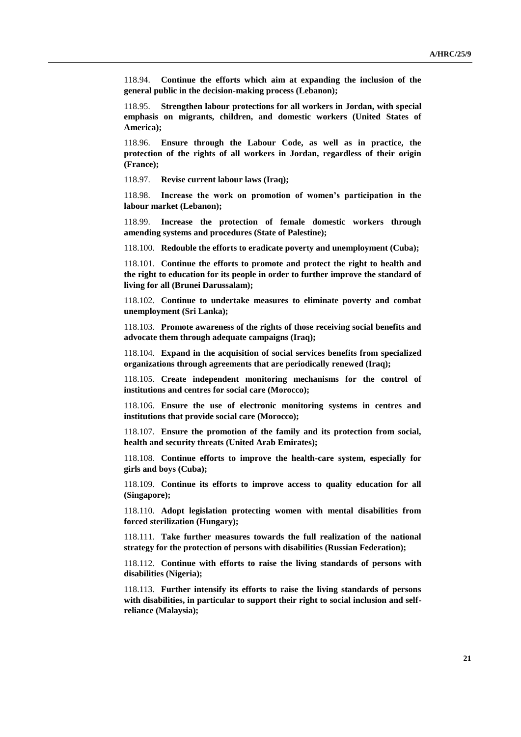118.94. **Continue the efforts which aim at expanding the inclusion of the general public in the decision-making process (Lebanon);**

118.95. **Strengthen labour protections for all workers in Jordan, with special emphasis on migrants, children, and domestic workers (United States of America);**

118.96. **Ensure through the Labour Code, as well as in practice, the protection of the rights of all workers in Jordan, regardless of their origin (France);**

118.97. **Revise current labour laws (Iraq);**

118.98. **Increase the work on promotion of women's participation in the labour market (Lebanon);**

118.99. **Increase the protection of female domestic workers through amending systems and procedures (State of Palestine);**

118.100. **Redouble the efforts to eradicate poverty and unemployment (Cuba);**

118.101. **Continue the efforts to promote and protect the right to health and the right to education for its people in order to further improve the standard of living for all (Brunei Darussalam);**

118.102. **Continue to undertake measures to eliminate poverty and combat unemployment (Sri Lanka);**

118.103. **Promote awareness of the rights of those receiving social benefits and advocate them through adequate campaigns (Iraq);**

118.104. **Expand in the acquisition of social services benefits from specialized organizations through agreements that are periodically renewed (Iraq);**

118.105. **Create independent monitoring mechanisms for the control of institutions and centres for social care (Morocco);**

118.106. **Ensure the use of electronic monitoring systems in centres and institutions that provide social care (Morocco);**

118.107. **Ensure the promotion of the family and its protection from social, health and security threats (United Arab Emirates);**

118.108. **Continue efforts to improve the health-care system, especially for girls and boys (Cuba);**

118.109. **Continue its efforts to improve access to quality education for all (Singapore);**

118.110. **Adopt legislation protecting women with mental disabilities from forced sterilization (Hungary);**

118.111. **Take further measures towards the full realization of the national strategy for the protection of persons with disabilities (Russian Federation);**

118.112. **Continue with efforts to raise the living standards of persons with disabilities (Nigeria);**

118.113. **Further intensify its efforts to raise the living standards of persons with disabilities, in particular to support their right to social inclusion and selfreliance (Malaysia);**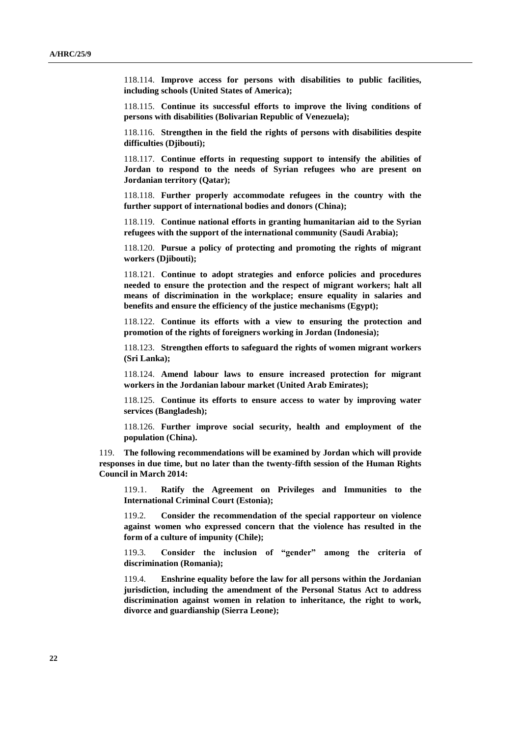118.114. **Improve access for persons with disabilities to public facilities, including schools (United States of America);**

118.115. **Continue its successful efforts to improve the living conditions of persons with disabilities (Bolivarian Republic of Venezuela);**

118.116. **Strengthen in the field the rights of persons with disabilities despite difficulties (Djibouti);**

118.117. **Continue efforts in requesting support to intensify the abilities of Jordan to respond to the needs of Syrian refugees who are present on Jordanian territory (Qatar);**

118.118. **Further properly accommodate refugees in the country with the further support of international bodies and donors (China);**

118.119. **Continue national efforts in granting humanitarian aid to the Syrian refugees with the support of the international community (Saudi Arabia);**

118.120. **Pursue a policy of protecting and promoting the rights of migrant workers (Djibouti);**

118.121. **Continue to adopt strategies and enforce policies and procedures needed to ensure the protection and the respect of migrant workers; halt all means of discrimination in the workplace; ensure equality in salaries and benefits and ensure the efficiency of the justice mechanisms (Egypt);**

118.122. **Continue its efforts with a view to ensuring the protection and promotion of the rights of foreigners working in Jordan (Indonesia);**

118.123. **Strengthen efforts to safeguard the rights of women migrant workers (Sri Lanka);**

118.124. **Amend labour laws to ensure increased protection for migrant workers in the Jordanian labour market (United Arab Emirates);**

118.125. **Continue its efforts to ensure access to water by improving water services (Bangladesh);**

118.126. **Further improve social security, health and employment of the population (China).**

119. **The following recommendations will be examined by Jordan which will provide responses in due time, but no later than the twenty-fifth session of the Human Rights Council in March 2014:**

119.1. **Ratify the Agreement on Privileges and Immunities to the International Criminal Court (Estonia);**

119.2. **Consider the recommendation of the special rapporteur on violence against women who expressed concern that the violence has resulted in the form of a culture of impunity (Chile);**

119.3. **Consider the inclusion of "gender" among the criteria of discrimination (Romania);**

119.4. **Enshrine equality before the law for all persons within the Jordanian jurisdiction, including the amendment of the Personal Status Act to address discrimination against women in relation to inheritance, the right to work, divorce and guardianship (Sierra Leone);**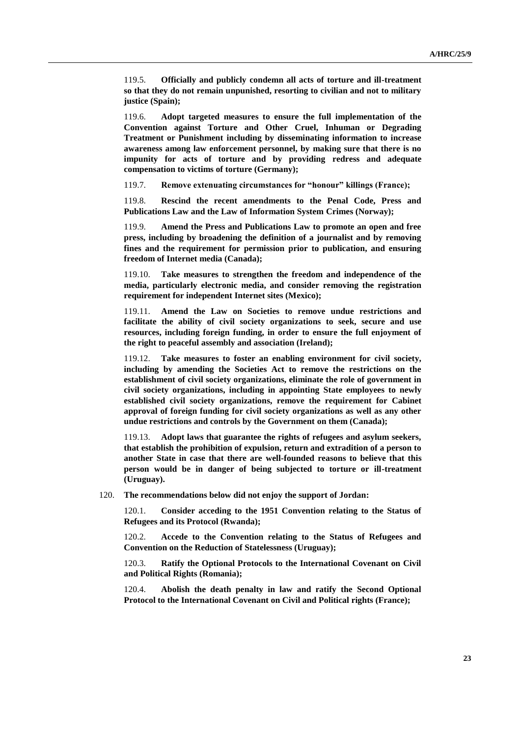119.5. **Officially and publicly condemn all acts of torture and ill-treatment so that they do not remain unpunished, resorting to civilian and not to military justice (Spain);**

119.6. **Adopt targeted measures to ensure the full implementation of the Convention against Torture and Other Cruel, Inhuman or Degrading Treatment or Punishment including by disseminating information to increase awareness among law enforcement personnel, by making sure that there is no impunity for acts of torture and by providing redress and adequate compensation to victims of torture (Germany);**

119.7. **Remove extenuating circumstances for "honour" killings (France);**

119.8. **Rescind the recent amendments to the Penal Code, Press and Publications Law and the Law of Information System Crimes (Norway);**

119.9. **Amend the Press and Publications Law to promote an open and free press, including by broadening the definition of a journalist and by removing fines and the requirement for permission prior to publication, and ensuring freedom of Internet media (Canada);**

119.10. **Take measures to strengthen the freedom and independence of the media, particularly electronic media, and consider removing the registration requirement for independent Internet sites (Mexico);**

119.11. **Amend the Law on Societies to remove undue restrictions and facilitate the ability of civil society organizations to seek, secure and use resources, including foreign funding, in order to ensure the full enjoyment of the right to peaceful assembly and association (Ireland);**

119.12. **Take measures to foster an enabling environment for civil society, including by amending the Societies Act to remove the restrictions on the establishment of civil society organizations, eliminate the role of government in civil society organizations, including in appointing State employees to newly established civil society organizations, remove the requirement for Cabinet approval of foreign funding for civil society organizations as well as any other undue restrictions and controls by the Government on them (Canada);**

119.13. **Adopt laws that guarantee the rights of refugees and asylum seekers, that establish the prohibition of expulsion, return and extradition of a person to another State in case that there are well-founded reasons to believe that this person would be in danger of being subjected to torture or ill-treatment (Uruguay).**

120. **The recommendations below did not enjoy the support of Jordan:**

120.1. **Consider acceding to the 1951 Convention relating to the Status of Refugees and its Protocol (Rwanda);**

120.2. **Accede to the Convention relating to the Status of Refugees and Convention on the Reduction of Statelessness (Uruguay);**

120.3. **Ratify the Optional Protocols to the International Covenant on Civil and Political Rights (Romania);**

120.4. **Abolish the death penalty in law and ratify the Second Optional Protocol to the International Covenant on Civil and Political rights (France);**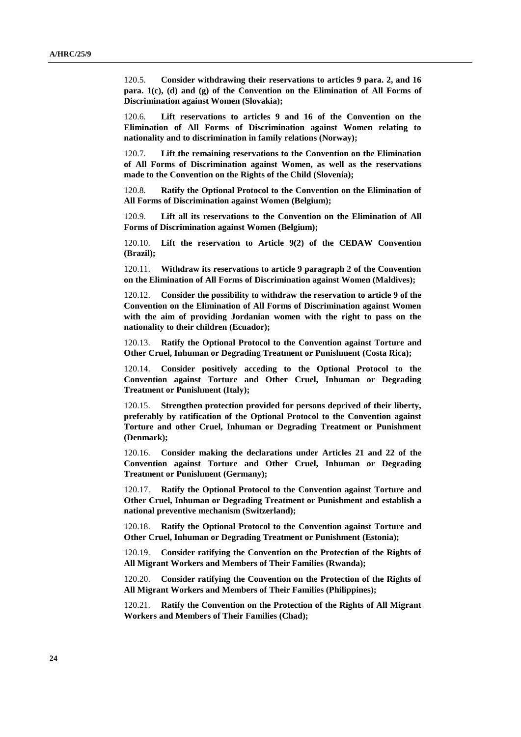120.5. **Consider withdrawing their reservations to articles 9 para. 2, and 16 para. 1(c), (d) and (g) of the Convention on the Elimination of All Forms of Discrimination against Women (Slovakia);**

120.6. **Lift reservations to articles 9 and 16 of the Convention on the Elimination of All Forms of Discrimination against Women relating to nationality and to discrimination in family relations (Norway);**

120.7. **Lift the remaining reservations to the Convention on the Elimination of All Forms of Discrimination against Women, as well as the reservations made to the Convention on the Rights of the Child (Slovenia);**

120.8. **Ratify the Optional Protocol to the Convention on the Elimination of All Forms of Discrimination against Women (Belgium);**

120.9. **Lift all its reservations to the Convention on the Elimination of All Forms of Discrimination against Women (Belgium);**

120.10. **Lift the reservation to Article 9(2) of the CEDAW Convention (Brazil);**

120.11. **Withdraw its reservations to article 9 paragraph 2 of the Convention on the Elimination of All Forms of Discrimination against Women (Maldives);**

120.12. **Consider the possibility to withdraw the reservation to article 9 of the Convention on the Elimination of All Forms of Discrimination against Women with the aim of providing Jordanian women with the right to pass on the nationality to their children (Ecuador);**

120.13. **Ratify the Optional Protocol to the Convention against Torture and Other Cruel, Inhuman or Degrading Treatment or Punishment (Costa Rica);**

120.14. **Consider positively acceding to the Optional Protocol to the Convention against Torture and Other Cruel, Inhuman or Degrading Treatment or Punishment (Italy);**

120.15. **Strengthen protection provided for persons deprived of their liberty, preferably by ratification of the Optional Protocol to the Convention against Torture and other Cruel, Inhuman or Degrading Treatment or Punishment (Denmark);**

120.16. **Consider making the declarations under Articles 21 and 22 of the Convention against Torture and Other Cruel, Inhuman or Degrading Treatment or Punishment (Germany);**

120.17. **Ratify the Optional Protocol to the Convention against Torture and Other Cruel, Inhuman or Degrading Treatment or Punishment and establish a national preventive mechanism (Switzerland);**

120.18. **Ratify the Optional Protocol to the Convention against Torture and Other Cruel, Inhuman or Degrading Treatment or Punishment (Estonia);**

120.19. **Consider ratifying the Convention on the Protection of the Rights of All Migrant Workers and Members of Their Families (Rwanda);**

120.20. **Consider ratifying the Convention on the Protection of the Rights of All Migrant Workers and Members of Their Families (Philippines);**

120.21. **Ratify the Convention on the Protection of the Rights of All Migrant Workers and Members of Their Families (Chad);**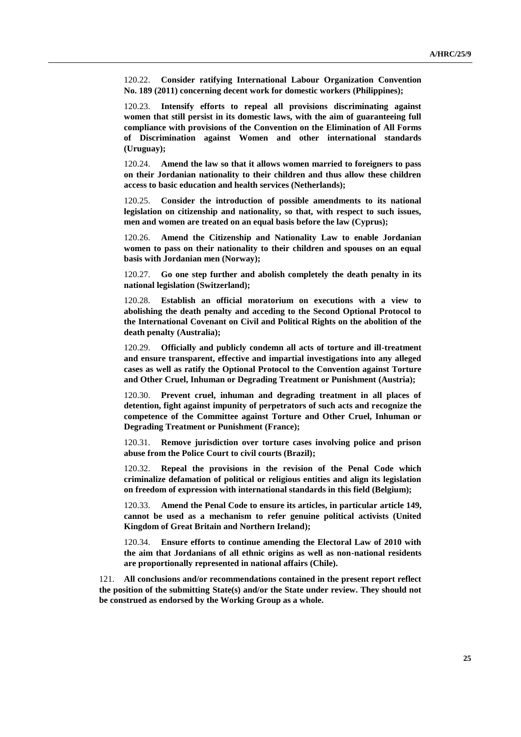120.22. **Consider ratifying International Labour Organization Convention No. 189 (2011) concerning decent work for domestic workers (Philippines);**

120.23. **Intensify efforts to repeal all provisions discriminating against women that still persist in its domestic laws, with the aim of guaranteeing full compliance with provisions of the Convention on the Elimination of All Forms of Discrimination against Women and other international standards (Uruguay);**

120.24. **Amend the law so that it allows women married to foreigners to pass on their Jordanian nationality to their children and thus allow these children access to basic education and health services (Netherlands);**

120.25. **Consider the introduction of possible amendments to its national legislation on citizenship and nationality, so that, with respect to such issues, men and women are treated on an equal basis before the law (Cyprus);**

120.26. **Amend the Citizenship and Nationality Law to enable Jordanian women to pass on their nationality to their children and spouses on an equal basis with Jordanian men (Norway);**

120.27. **Go one step further and abolish completely the death penalty in its national legislation (Switzerland);**

120.28. **Establish an official moratorium on executions with a view to abolishing the death penalty and acceding to the Second Optional Protocol to the International Covenant on Civil and Political Rights on the abolition of the death penalty (Australia);**

120.29. **Officially and publicly condemn all acts of torture and ill-treatment and ensure transparent, effective and impartial investigations into any alleged cases as well as ratify the Optional Protocol to the Convention against Torture and Other Cruel, Inhuman or Degrading Treatment or Punishment (Austria);**

120.30. **Prevent cruel, inhuman and degrading treatment in all places of detention, fight against impunity of perpetrators of such acts and recognize the competence of the Committee against Torture and Other Cruel, Inhuman or Degrading Treatment or Punishment (France);**

120.31. **Remove jurisdiction over torture cases involving police and prison abuse from the Police Court to civil courts (Brazil);**

120.32. **Repeal the provisions in the revision of the Penal Code which criminalize defamation of political or religious entities and align its legislation on freedom of expression with international standards in this field (Belgium);**

120.33. **Amend the Penal Code to ensure its articles, in particular article 149, cannot be used as a mechanism to refer genuine political activists (United Kingdom of Great Britain and Northern Ireland);**

120.34. **Ensure efforts to continue amending the Electoral Law of 2010 with the aim that Jordanians of all ethnic origins as well as non-national residents are proportionally represented in national affairs (Chile).**

121. **All conclusions and/or recommendations contained in the present report reflect the position of the submitting State(s) and/or the State under review. They should not be construed as endorsed by the Working Group as a whole.**